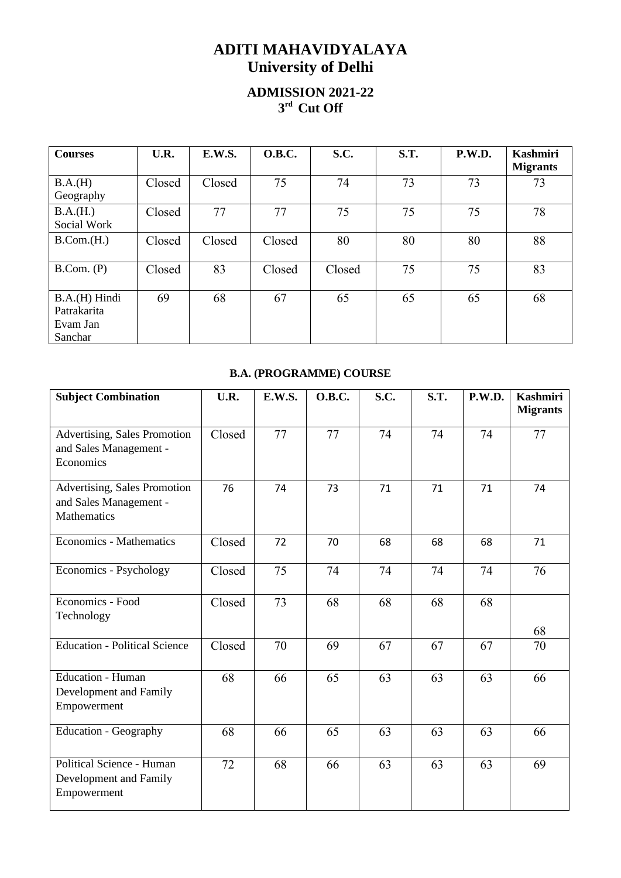## **ADITI MAHAVIDYALAYA University of Delhi**

## **ADMISSION 2021-22 3 rd Cut Off**

| <b>Courses</b>                                      | U.R.   | <b>E.W.S.</b> | <b>O.B.C.</b> | S.C.   | <b>S.T.</b> | P.W.D. | <b>Kashmiri</b><br><b>Migrants</b> |
|-----------------------------------------------------|--------|---------------|---------------|--------|-------------|--------|------------------------------------|
| B.A.(H)<br>Geography                                | Closed | Closed        | 75            | 74     | 73          | 73     | 73                                 |
| B.A.(H.)<br>Social Work                             | Closed | 77            | 77            | 75     | 75          | 75     | 78                                 |
| B. Com.(H.)                                         | Closed | Closed        | Closed        | 80     | 80          | 80     | 88                                 |
| B. Com. (P)                                         | Closed | 83            | Closed        | Closed | 75          | 75     | 83                                 |
| B.A.(H) Hindi<br>Patrakarita<br>Evam Jan<br>Sanchar | 69     | 68            | 67            | 65     | 65          | 65     | 68                                 |

## **B.A. (PROGRAMME) COURSE**

| <b>Subject Combination</b>                                                   | U.R.   | E.W.S. | <b>O.B.C.</b> | S.C. | S.T. | P.W.D. | <b>Kashmiri</b><br><b>Migrants</b> |
|------------------------------------------------------------------------------|--------|--------|---------------|------|------|--------|------------------------------------|
| Advertising, Sales Promotion<br>and Sales Management -<br>Economics          | Closed | 77     | 77            | 74   | 74   | 74     | 77                                 |
| Advertising, Sales Promotion<br>and Sales Management -<br><b>Mathematics</b> | 76     | 74     | 73            | 71   | 71   | 71     | 74                                 |
| Economics - Mathematics                                                      | Closed | 72     | 70            | 68   | 68   | 68     | 71                                 |
| Economics - Psychology                                                       | Closed | 75     | 74            | 74   | 74   | 74     | 76                                 |
| Economics - Food<br>Technology                                               | Closed | 73     | 68            | 68   | 68   | 68     | 68                                 |
| <b>Education - Political Science</b>                                         | Closed | 70     | 69            | 67   | 67   | 67     | 70                                 |
| <b>Education - Human</b><br>Development and Family<br>Empowerment            | 68     | 66     | 65            | 63   | 63   | 63     | 66                                 |
| <b>Education - Geography</b>                                                 | 68     | 66     | 65            | 63   | 63   | 63     | 66                                 |
| Political Science - Human<br>Development and Family<br>Empowerment           | 72     | 68     | 66            | 63   | 63   | 63     | 69                                 |